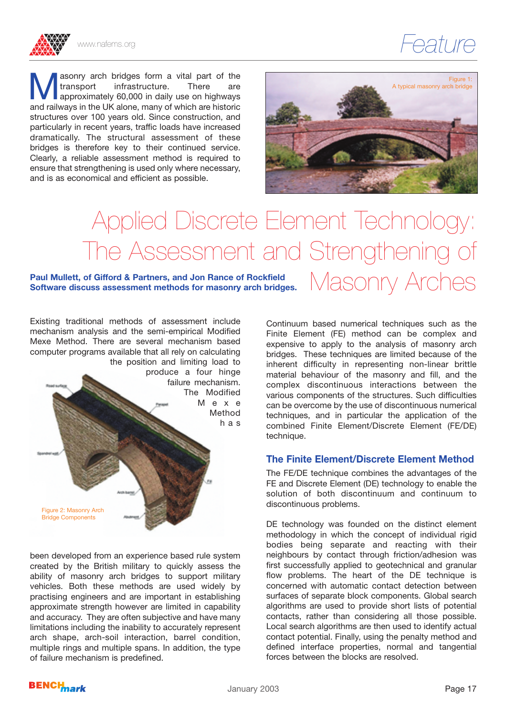

Masonry arch bridges form a vital part of the<br>
transport infrastructure. There are<br>
approximately 60,000 in daily use on highways<br>
and railways in the LIK alone, many of which are historic transport infrastructure. There are and railways in the UK alone, many of which are historic structures over 100 years old. Since construction, and particularly in recent years, traffic loads have increased dramatically. The structural assessment of these bridges is therefore key to their continued service. Clearly, a reliable assessment method is required to ensure that strengthening is used only where necessary, and is as economical and efficient as possible.



# Applied Discrete Element Technology: The Assessment and Strengthening of

#### Paul Mullett, of Gifford & Partners, and Jon Rance of Rockfield<br>Software discuss assessment methods for masonry arch bridges. Nather the state of **Parther Software discuss assessment methods for masonry arch bridges.**

Existing traditional methods of assessment include mechanism analysis and the semi-empirical Modified Mexe Method. There are several mechanism based computer programs available that all rely on calculating the position and limiting load to produce a four hinge failure mechanism. The Modified M e x e Method has

Continuum based numerical techniques such as the Finite Element (FE) method can be complex and expensive to apply to the analysis of masonry arch bridges. These techniques are limited because of the inherent difficulty in representing non-linear brittle material behaviour of the masonry and fill, and the complex discontinuous interactions between the various components of the structures. Such difficulties can be overcome by the use of discontinuous numerical techniques, and in particular the application of the combined Finite Element/Discrete Element (FE/DE) technique.

#### **The Finite Element/Discrete Element Method**

The FE/DE technique combines the advantages of the FE and Discrete Element (DE) technology to enable the solution of both discontinuum and continuum to discontinuous problems.

DE technology was founded on the distinct element methodology in which the concept of individual rigid bodies being separate and reacting with their neighbours by contact through friction/adhesion was first successfully applied to geotechnical and granular flow problems. The heart of the DE technique is concerned with automatic contact detection between surfaces of separate block components. Global search algorithms are used to provide short lists of potential contacts, rather than considering all those possible. Local search algorithms are then used to identify actual contact potential. Finally, using the penalty method and defined interface properties, normal and tangential forces between the blocks are resolved.

been developed from an experience based rule system created by the British military to quickly assess the ability of masonry arch bridges to support military vehicles. Both these methods are used widely by practising engineers and are important in establishing approximate strength however are limited in capability and accuracy. They are often subjective and have many limitations including the inability to accurately represent arch shape, arch-soil interaction, barrel condition, multiple rings and multiple spans. In addition, the type of failure mechanism is predefined.



Figure 2: Masonry Arch Bridge Components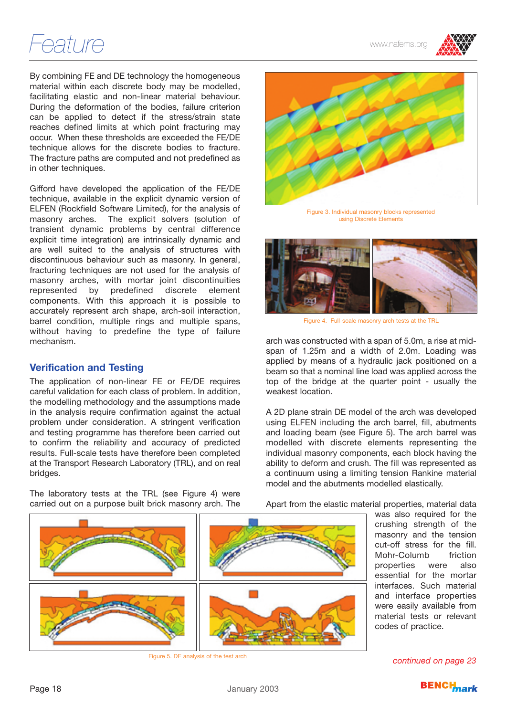## *Feature* www.nafems.org

By combining FE and DE technology the homogeneous material within each discrete body may be modelled, facilitating elastic and non-linear material behaviour. During the deformation of the bodies, failure criterion can be applied to detect if the stress/strain state reaches defined limits at which point fracturing may occur. When these thresholds are exceeded the FE/DE technique allows for the discrete bodies to fracture. The fracture paths are computed and not predefined as in other techniques.

Gifford have developed the application of the FE/DE technique, available in the explicit dynamic version of ELFEN (Rockfield Software Limited), for the analysis of masonry arches. The explicit solvers (solution of transient dynamic problems by central difference explicit time integration) are intrinsically dynamic and are well suited to the analysis of structures with discontinuous behaviour such as masonry. In general, fracturing techniques are not used for the analysis of masonry arches, with mortar joint discontinuities represented by predefined discrete element components. With this approach it is possible to accurately represent arch shape, arch-soil interaction, barrel condition, multiple rings and multiple spans, without having to predefine the type of failure mechanism.

#### **Verification and Testing**

The application of non-linear FE or FE/DE requires careful validation for each class of problem. In addition, the modelling methodology and the assumptions made in the analysis require confirmation against the actual problem under consideration. A stringent verification and testing programme has therefore been carried out to confirm the reliability and accuracy of predicted results. Full-scale tests have therefore been completed at the Transport Research Laboratory (TRL), and on real bridges.

The laboratory tests at the TRL (see Figure 4) were carried out on a purpose built brick masonry arch. The



Figure 3. Individual masonry blocks represented using Discrete Elements



Figure 4. Full-scale masonry arch tests at the TRL

arch was constructed with a span of 5.0m, a rise at midspan of 1.25m and a width of 2.0m. Loading was applied by means of a hydraulic jack positioned on a beam so that a nominal line load was applied across the top of the bridge at the quarter point - usually the weakest location.

A 2D plane strain DE model of the arch was developed using ELFEN including the arch barrel, fill, abutments and loading beam (see Figure 5). The arch barrel was modelled with discrete elements representing the individual masonry components, each block having the ability to deform and crush. The fill was represented as a continuum using a limiting tension Rankine material model and the abutments modelled elastically.

Apart from the elastic material properties, material data

was also required for the crushing strength of the masonry and the tension cut-off stress for the fill.<br>Mohr-Columb friction Mohr-Columb properties were also essential for the mortar interfaces. Such material and interface properties were easily available from material tests or relevant codes of practice.



Figure 5. DE analysis of the test arch *continued on page 23*

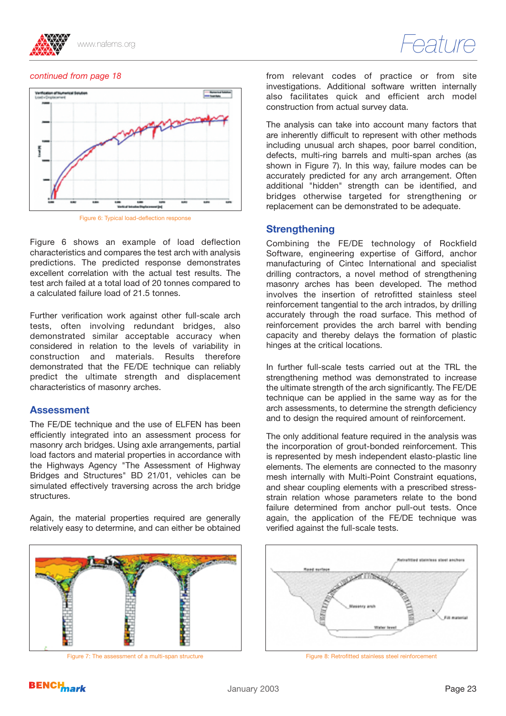



#### *continued from page 18*



Figure 6 shows an example of load deflection characteristics and compares the test arch with analysis predictions. The predicted response demonstrates excellent correlation with the actual test results. The test arch failed at a total load of 20 tonnes compared to a calculated failure load of 21.5 tonnes.

Further verification work against other full-scale arch tests, often involving redundant bridges, also demonstrated similar acceptable accuracy when considered in relation to the levels of variability in construction and materials. Results therefore demonstrated that the FE/DE technique can reliably predict the ultimate strength and displacement characteristics of masonry arches.

#### **Assessment**

The FE/DE technique and the use of ELFEN has been efficiently integrated into an assessment process for masonry arch bridges. Using axle arrangements, partial load factors and material properties in accordance with the Highways Agency "The Assessment of Highway Bridges and Structures" BD 21/01, vehicles can be simulated effectively traversing across the arch bridge structures.

Again, the material properties required are generally relatively easy to determine, and can either be obtained



Figure 7: The assessment of a multi-span structure Figure 8: Retrofitted stainless steel reinforcement

from relevant codes of practice or from site investigations. Additional software written internally also facilitates quick and efficient arch model construction from actual survey data.

The analysis can take into account many factors that are inherently difficult to represent with other methods including unusual arch shapes, poor barrel condition, defects, multi-ring barrels and multi-span arches (as shown in Figure 7). In this way, failure modes can be accurately predicted for any arch arrangement. Often additional "hidden" strength can be identified, and bridges otherwise targeted for strengthening or replacement can be demonstrated to be adequate.

#### **Strengthening**

Combining the FE/DE technology of Rockfield Software, engineering expertise of Gifford, anchor manufacturing of Cintec International and specialist drilling contractors, a novel method of strengthening masonry arches has been developed. The method involves the insertion of retrofitted stainless steel reinforcement tangential to the arch intrados, by drilling accurately through the road surface. This method of reinforcement provides the arch barrel with bending capacity and thereby delays the formation of plastic hinges at the critical locations.

In further full-scale tests carried out at the TRL the strengthening method was demonstrated to increase the ultimate strength of the arch significantly. The FE/DE technique can be applied in the same way as for the arch assessments, to determine the strength deficiency and to design the required amount of reinforcement.

The only additional feature required in the analysis was the incorporation of grout-bonded reinforcement. This is represented by mesh independent elasto-plastic line elements. The elements are connected to the masonry mesh internally with Multi-Point Constraint equations, and shear coupling elements with a prescribed stressstrain relation whose parameters relate to the bond failure determined from anchor pull-out tests. Once again, the application of the FE/DE technique was verified against the full-scale tests.



### **BENCH**<br> *RENCH*<br> *Rark*